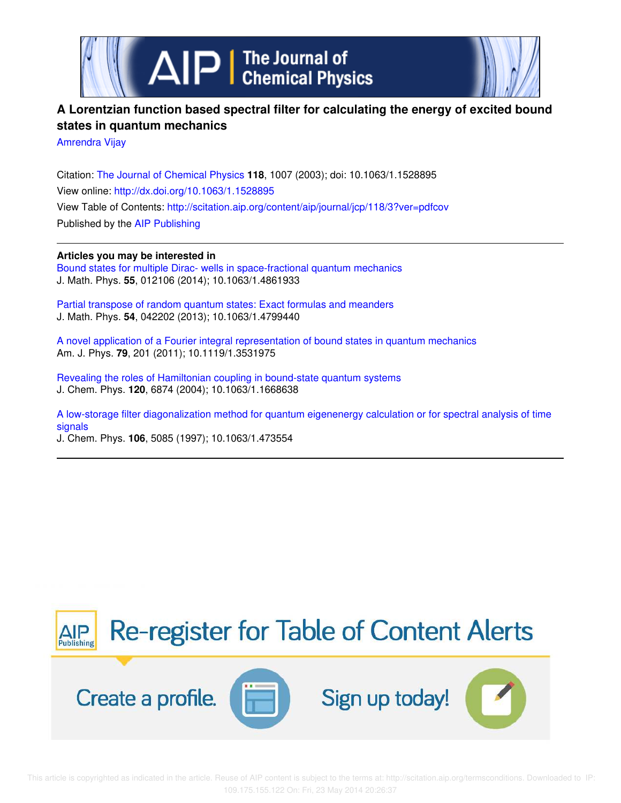

# **A Lorentzian function based spectral filter for calculating the energy of excited bound states in quantum mechanics**

Amrendra Vijay

Citation: The Journal of Chemical Physics **118**, 1007 (2003); doi: 10.1063/1.1528895 View online: http://dx.doi.org/10.1063/1.1528895 View Table of Contents: http://scitation.aip.org/content/aip/journal/jcp/118/3?ver=pdfcov Published by the AIP Publishing

**Articles you may be interested in** Bound states for multiple Dirac- wells in space-fractional quantum mechanics J. Math. Phys. **55**, 012106 (2014); 10.1063/1.4861933

Partial transpose of random quantum states: Exact formulas and meanders J. Math. Phys. **54**, 042202 (2013); 10.1063/1.4799440

A novel application of a Fourier integral representation of bound states in quantum mechanics Am. J. Phys. **79**, 201 (2011); 10.1119/1.3531975

Revealing the roles of Hamiltonian coupling in bound-state quantum systems J. Chem. Phys. **120**, 6874 (2004); 10.1063/1.1668638

A low-storage filter diagonalization method for quantum eigenenergy calculation or for spectral analysis of time signals J. Chem. Phys. **106**, 5085 (1997); 10.1063/1.473554

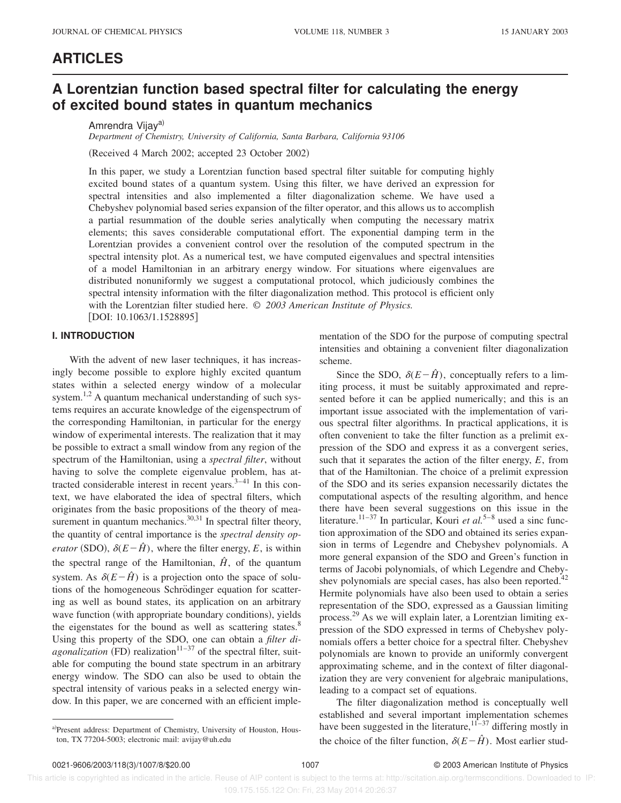### **ARTICLES**

## **A Lorentzian function based spectral filter for calculating the energy of excited bound states in quantum mechanics**

Amrendra Vijaya)

*Department of Chemistry, University of California, Santa Barbara, California 93106*

(Received 4 March 2002; accepted 23 October 2002)

In this paper, we study a Lorentzian function based spectral filter suitable for computing highly excited bound states of a quantum system. Using this filter, we have derived an expression for spectral intensities and also implemented a filter diagonalization scheme. We have used a Chebyshev polynomial based series expansion of the filter operator, and this allows us to accomplish a partial resummation of the double series analytically when computing the necessary matrix elements; this saves considerable computational effort. The exponential damping term in the Lorentzian provides a convenient control over the resolution of the computed spectrum in the spectral intensity plot. As a numerical test, we have computed eigenvalues and spectral intensities of a model Hamiltonian in an arbitrary energy window. For situations where eigenvalues are distributed nonuniformly we suggest a computational protocol, which judiciously combines the spectral intensity information with the filter diagonalization method. This protocol is efficient only with the Lorentzian filter studied here. © *2003 American Institute of Physics.*  $[$ DOI: 10.1063/1.1528895 $]$ 

### **I. INTRODUCTION**

With the advent of new laser techniques, it has increasingly become possible to explore highly excited quantum states within a selected energy window of a molecular system.<sup>1,2</sup> A quantum mechanical understanding of such systems requires an accurate knowledge of the eigenspectrum of the corresponding Hamiltonian, in particular for the energy window of experimental interests. The realization that it may be possible to extract a small window from any region of the spectrum of the Hamiltonian, using a *spectral filter*, without having to solve the complete eigenvalue problem, has attracted considerable interest in recent years. $3-41$  In this context, we have elaborated the idea of spectral filters, which originates from the basic propositions of the theory of measurement in quantum mechanics. $30,31$  In spectral filter theory, the quantity of central importance is the *spectral density operator* (SDO),  $\delta(E-\hat{H})$ , where the filter energy, *E*, is within the spectral range of the Hamiltonian,  $\hat{H}$ , of the quantum system. As  $\delta(E-\hat{H})$  is a projection onto the space of solutions of the homogeneous Schrödinger equation for scattering as well as bound states, its application on an arbitrary wave function (with appropriate boundary conditions), yields the eigenstates for the bound as well as scattering states. $8$ Using this property of the SDO, one can obtain a *filter diagonalization* (FD) realization<sup>11–37</sup> of the spectral filter, suitable for computing the bound state spectrum in an arbitrary energy window. The SDO can also be used to obtain the spectral intensity of various peaks in a selected energy window. In this paper, we are concerned with an efficient implementation of the SDO for the purpose of computing spectral intensities and obtaining a convenient filter diagonalization scheme.

Since the SDO,  $\delta(E-\hat{H})$ , conceptually refers to a limiting process, it must be suitably approximated and represented before it can be applied numerically; and this is an important issue associated with the implementation of various spectral filter algorithms. In practical applications, it is often convenient to take the filter function as a prelimit expression of the SDO and express it as a convergent series, such that it separates the action of the filter energy, *E*, from that of the Hamiltonian. The choice of a prelimit expression of the SDO and its series expansion necessarily dictates the computational aspects of the resulting algorithm, and hence there have been several suggestions on this issue in the literature.<sup>11–37</sup> In particular, Kouri *et al.*<sup>5–8</sup> used a sinc function approximation of the SDO and obtained its series expansion in terms of Legendre and Chebyshev polynomials. A more general expansion of the SDO and Green's function in terms of Jacobi polynomials, of which Legendre and Chebyshev polynomials are special cases, has also been reported.<sup>42</sup> Hermite polynomials have also been used to obtain a series representation of the SDO, expressed as a Gaussian limiting process.<sup>29</sup> As we will explain later, a Lorentzian limiting expression of the SDO expressed in terms of Chebyshev polynomials offers a better choice for a spectral filter. Chebyshev polynomials are known to provide an uniformly convergent approximating scheme, and in the context of filter diagonalization they are very convenient for algebraic manipulations, leading to a compact set of equations.

The filter diagonalization method is conceptually well established and several important implementation schemes have been suggested in the literature,  $11-37$  differing mostly in the choice of the filter function,  $\delta(E-\hat{H})$ . Most earlier stud-

 This article is copyrighted as indicated in the article. Reuse of AIP content is subject to the terms at: http://scitation.aip.org/termsconditions. Downloaded to IP: 109.175.155.122 On: Fri, 23 May 2014 20:26:37

a)Present address: Department of Chemistry, University of Houston, Houston, TX 77204-5003; electronic mail: avijay@uh.edu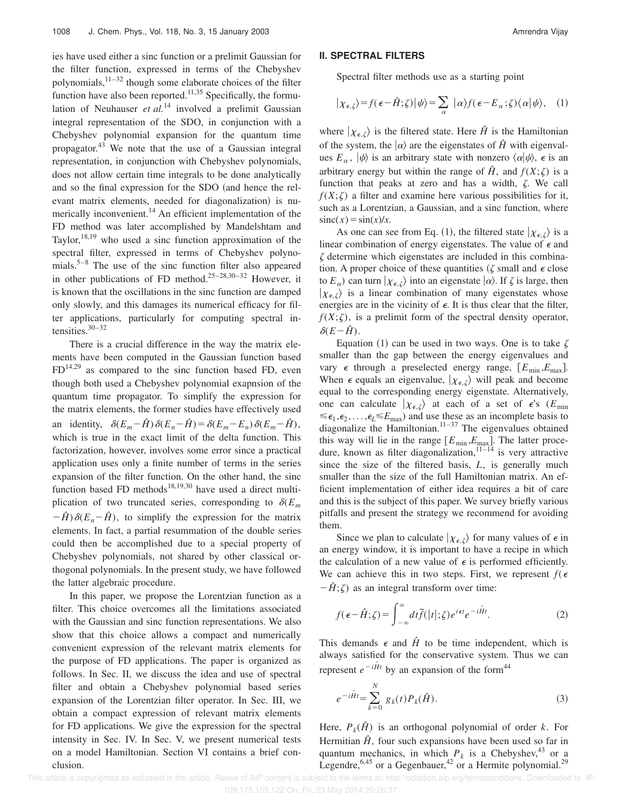ies have used either a sinc function or a prelimit Gaussian for the filter function, expressed in terms of the Chebyshev polynomials, $1^{1-32}$  though some elaborate choices of the filter function have also been reported.<sup>11,35</sup> Specifically, the formulation of Neuhauser *et al.*<sup>14</sup> involved a prelimit Gaussian integral representation of the SDO, in conjunction with a Chebyshev polynomial expansion for the quantum time propagator.<sup>43</sup> We note that the use of a Gaussian integral representation, in conjunction with Chebyshev polynomials, does not allow certain time integrals to be done analytically and so the final expression for the SDO (and hence the relevant matrix elements, needed for diagonalization) is numerically inconvenient.<sup>14</sup> An efficient implementation of the FD method was later accomplished by Mandelshtam and Taylor, $18,19$  who used a sinc function approximation of the spectral filter, expressed in terms of Chebyshev polynomials.5–8 The use of the sinc function filter also appeared in other publications of FD method.<sup>25-28,30-32</sup> However, it is known that the oscillations in the sinc function are damped only slowly, and this damages its numerical efficacy for filter applications, particularly for computing spectral intensities. $30-32$ 

There is a crucial difference in the way the matrix elements have been computed in the Gaussian function based  $FD<sup>14,29</sup>$  as compared to the sinc function based FD, even though both used a Chebyshev polynomial exapnsion of the quantum time propagator. To simplify the expression for the matrix elements, the former studies have effectively used an identity,  $\delta(E_m-\hat{H})\delta(E_n-\hat{H})=\delta(E_m-E_n)\delta(E_m-\hat{H})$ , which is true in the exact limit of the delta function. This factorization, however, involves some error since a practical application uses only a finite number of terms in the series expansion of the filter function. On the other hand, the sinc function based FD methods<sup>18,19,30</sup> have used a direct multiplication of two truncated series, corresponding to  $\delta(E_m)$  $-\hat{H}$ ) $\delta(E_n-\hat{H})$ , to simplify the expression for the matrix elements. In fact, a partial resummation of the double series could then be accomplished due to a special property of Chebyshev polynomials, not shared by other classical orthogonal polynomials. In the present study, we have followed the latter algebraic procedure.

In this paper, we propose the Lorentzian function as a filter. This choice overcomes all the limitations associated with the Gaussian and sinc function representations. We also show that this choice allows a compact and numerically convenient expression of the relevant matrix elements for the purpose of FD applications. The paper is organized as follows. In Sec. II, we discuss the idea and use of spectral filter and obtain a Chebyshev polynomial based series expansion of the Lorentzian filter operator. In Sec. III, we obtain a compact expression of relevant matrix elements for FD applications. We give the expression for the spectral intensity in Sec. IV. In Sec. V, we present numerical tests on a model Hamiltonian. Section VI contains a brief conclusion.

#### **II. SPECTRAL FILTERS**

Spectral filter methods use as a starting point

$$
|\chi_{\epsilon,\zeta}\rangle = f(\epsilon - \hat{H};\zeta)|\psi\rangle = \sum_{\alpha} |\alpha\rangle f(\epsilon - E_{\alpha};\zeta)\langle\alpha|\psi\rangle, (1)
$$

where  $|\chi_{\epsilon,\zeta}\rangle$  is the filtered state. Here  $\hat{H}$  is the Hamiltonian of the system, the  $|\alpha\rangle$  are the eigenstates of  $\hat{H}$  with eigenvalues  $E_\alpha$ ,  $|\psi\rangle$  is an arbitrary state with nonzero  $\langle \alpha | \psi \rangle$ ,  $\epsilon$  is an arbitrary energy but within the range of  $\hat{H}$ , and  $f(X;\zeta)$  is a function that peaks at zero and has a width,  $\zeta$ . We call  $f(X;\zeta)$  a filter and examine here various possibilities for it, such as a Lorentzian, a Gaussian, and a sinc function, where  $\operatorname{sinc}(x) = \sin(x)/x$ .

As one can see from Eq. (1), the filtered state  $|\chi_{\epsilon,\zeta}\rangle$  is a linear combination of energy eigenstates. The value of  $\epsilon$  and  $\zeta$  determine which eigenstates are included in this combination. A proper choice of these quantities ( $\zeta$  small and  $\epsilon$  close to  $E_{\alpha}$ ) can turn  $|\chi_{\epsilon,\zeta}\rangle$  into an eigenstate  $|\alpha\rangle$ . If  $\zeta$  is large, then  $|\chi_{\epsilon,\zeta}\rangle$  is a linear combination of many eigenstates whose energies are in the vicinity of  $\epsilon$ . It is thus clear that the filter,  $f(X;\zeta)$ , is a prelimit form of the spectral density operator,  $\delta(E-\hat{H})$ .

Equation (1) can be used in two ways. One is to take  $\zeta$ smaller than the gap between the energy eigenvalues and vary  $\epsilon$  through a preselected energy range,  $[E_{\min}, E_{\max}]$ . When  $\epsilon$  equals an eigenvalue,  $|\chi_{\epsilon,\zeta}\rangle$  will peak and become equal to the corresponding energy eigenstate. Alternatively, one can calculate  $|\chi_{\epsilon,\zeta}\rangle$  at each of a set of  $\epsilon$ 's ( $E_{\text{min}}$ )  $\leq \epsilon_1, \epsilon_2, \ldots, \epsilon_L \leq E_{\text{max}}$  and use these as an incomplete basis to diagonalize the Hamiltonian.<sup>11–37</sup> The eigenvalues obtained this way will lie in the range  $[E_{\text{min}}, E_{\text{max}}]$ . The latter procedure, known as filter diagonalization,  $11-14$  is very attractive since the size of the filtered basis, *L*, is generally much smaller than the size of the full Hamiltonian matrix. An efficient implementation of either idea requires a bit of care and this is the subject of this paper. We survey briefly various pitfalls and present the strategy we recommend for avoiding them.

Since we plan to calculate  $|\chi_{\epsilon,\zeta}\rangle$  for many values of  $\epsilon$  in an energy window, it is important to have a recipe in which the calculation of a new value of  $\epsilon$  is performed efficiently. We can achieve this in two steps. First, we represent  $f(\epsilon)$  $-\hat{H}$ ; $\zeta$ ) as an integral transform over time:

$$
f(\epsilon - \hat{H}; \zeta) = \int_{-\infty}^{\infty} dt \tilde{f}(|t|; \zeta) e^{i\epsilon t} e^{-i\hat{H}t}.
$$
 (2)

This demands  $\epsilon$  and  $\hat{H}$  to be time independent, which is always satisfied for the conservative system. Thus we can represent  $e^{-i\hat{H}t}$  by an expansion of the form<sup>44</sup>

$$
e^{-i\hat{H}t} = \sum_{k=0}^{N} g_k(t) P_k(\hat{H}).
$$
\n(3)

Here,  $P_k(\hat{H})$  is an orthogonal polynomial of order *k*. For Hermitian  $\hat{H}$ , four such expansions have been used so far in quantum mechanics, in which  $P_k$  is a Chebyshev,<sup>43</sup> or a Legendre,  $6,45$  or a Gegenbauer,  $42$  or a Hermite polynomial.<sup>29</sup>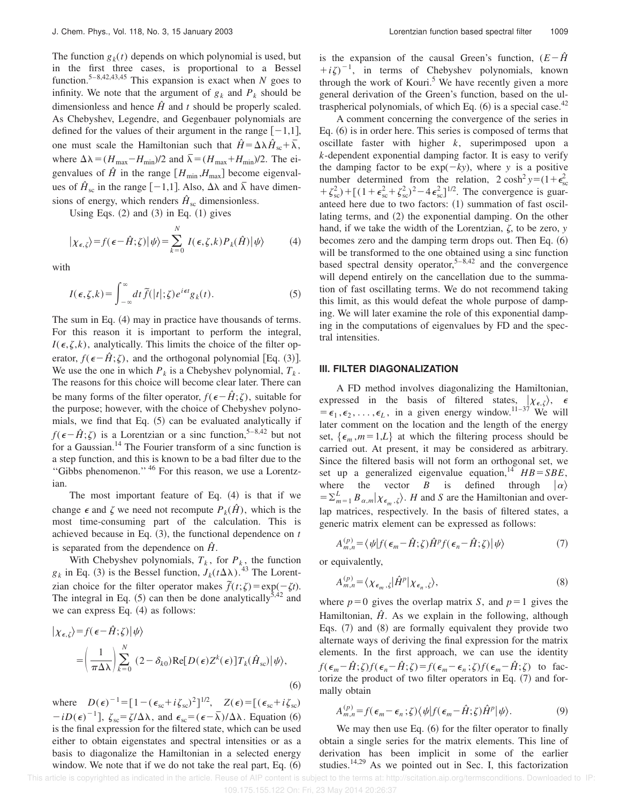The function  $g_k(t)$  depends on which polynomial is used, but in the first three cases, is proportional to a Bessel function.5–8,42,43,45 This expansion is exact when *N* goes to infinity. We note that the argument of  $g_k$  and  $P_k$  should be dimensionless and hence  $\hat{H}$  and  $t$  should be properly scaled. As Chebyshev, Legendre, and Gegenbauer polynomials are defined for the values of their argument in the range  $[-1,1]$ , one must scale the Hamiltonian such that  $\hat{H} = \Delta \lambda \hat{H}_{sc} + \overline{\lambda}$ , where  $\Delta\lambda = (H_{\text{max}} - H_{\text{min}})/2$  and  $\bar{\lambda} = (H_{\text{max}} + H_{\text{min}})/2$ . The eigenvalues of  $\hat{H}$  in the range  $[H_{\min}, H_{\max}]$  become eigenvalues of  $\hat{H}_{sc}$  in the range  $[-1,1]$ . Also,  $\Delta\lambda$  and  $\overline{\lambda}$  have dimensions of energy, which renders  $\hat{H}_{\rm sc}$  dimensionless.

Using Eqs.  $(2)$  and  $(3)$  in Eq.  $(1)$  gives

$$
|\chi_{\epsilon,\zeta}\rangle = f(\epsilon - \hat{H};\zeta)|\psi\rangle = \sum_{k=0}^{N} I(\epsilon,\zeta,k)P_k(\hat{H})|\psi\rangle \tag{4}
$$

with

$$
I(\epsilon, \zeta, k) = \int_{-\infty}^{\infty} dt \, \widetilde{f}(|t|; \zeta) e^{i\epsilon t} g_k(t).
$$
 (5)

The sum in Eq.  $(4)$  may in practice have thousands of terms. For this reason it is important to perform the integral,  $I(\epsilon, \zeta, k)$ , analytically. This limits the choice of the filter operator,  $f(\epsilon-\hat{H};\zeta)$ , and the orthogonal polynomial [Eq. (3)]. We use the one in which  $P_k$  is a Chebyshev polynomial,  $T_k$ . The reasons for this choice will become clear later. There can be many forms of the filter operator,  $f(\epsilon-\hat{H};\zeta)$ , suitable for the purpose; however, with the choice of Chebyshev polynomials, we find that Eq.  $(5)$  can be evaluated analytically if  $f(\epsilon-\hat{H};\zeta)$  is a Lorentzian or a sinc function,<sup>5–8,42</sup> but not for a Gaussian.<sup>14</sup> The Fourier transform of a sinc function is a step function, and this is known to be a bad filter due to the ''Gibbs phenomenon.'' <sup>46</sup> For this reason, we use a Lorentzian.

The most important feature of Eq.  $(4)$  is that if we change  $\epsilon$  and  $\zeta$  we need not recompute  $P_k(\hat{H})$ , which is the most time-consuming part of the calculation. This is achieved because in Eq.  $(3)$ , the functional dependence on  $t$ is separated from the dependence on *Hˆ* .

With Chebyshev polynomials,  $T_k$ , for  $P_k$ , the function  $g_k$  in Eq. (3) is the Bessel function,  $J_k(t\Delta\lambda)$ .<sup>43</sup> The Lorentzian choice for the filter operator makes  $\tilde{f}(t;\zeta) = \exp(-\zeta t)$ . The integral in Eq.  $(5)$  can then be done analytically<sup>5,42</sup> and we can express Eq.  $(4)$  as follows:

$$
|\chi_{\epsilon,\zeta}\rangle = f(\epsilon - \hat{H};\zeta)|\psi\rangle
$$
  
= 
$$
\left(\frac{1}{\pi\Delta\lambda}\right)\sum_{k=0}^{N} (2 - \delta_{k0})\text{Re}[D(\epsilon)Z^{k}(\epsilon)]T_{k}(\hat{H}_{sc})|\psi\rangle,
$$
  
(6)

where  $D(\epsilon)^{-1} = [1 - (\epsilon_{\rm sc} + i\zeta_{\rm sc})^2]^{1/2}$ ,  $Z(\epsilon) = [(\epsilon_{\rm sc} + i\zeta_{\rm sc})$  $-iD(\epsilon)^{-1}$ ,  $\zeta_{sc} = \zeta/\Delta\lambda$ , and  $\epsilon_{sc} = (\epsilon - \overline{\lambda})/\Delta\lambda$ . Equation (6) is the final expression for the filtered state, which can be used either to obtain eigenstates and spectral intensities or as a basis to diagonalize the Hamiltonian in a selected energy window. We note that if we do not take the real part, Eq.  $(6)$  is the expansion of the causal Green's function,  $(E-\hat{H})$  $+i\zeta$ <sup>-1</sup>, in terms of Chebyshev polynomials, known through the work of Kouri.<sup>5</sup> We have recently given a more general derivation of the Green's function, based on the ultraspherical polynomials, of which Eq.  $(6)$  is a special case.<sup>42</sup>

A comment concerning the convergence of the series in Eq.  $(6)$  is in order here. This series is composed of terms that oscillate faster with higher *k*, superimposed upon a *k*-dependent exponential damping factor. It is easy to verify the damping factor to be  $exp(-ky)$ , where *y* is a positive number determined from the relation,  $2 \cosh^2 y = (1 + \epsilon_{sc}^2)$  $+\zeta_{\rm sc}^2$  + [(1+ $\epsilon_{\rm sc}^2$  +  $\zeta_{\rm sc}^2$ )<sup>2</sup> – 4 $\epsilon_{\rm sc}^2$ ]<sup>1/2</sup>. The convergence is guaranteed here due to two factors:  $(1)$  summation of fast oscillating terms, and  $(2)$  the exponential damping. On the other hand, if we take the width of the Lorentzian,  $\zeta$ , to be zero, *y* becomes zero and the damping term drops out. Then Eq.  $(6)$ will be transformed to the one obtained using a sinc function based spectral density operator,<sup>5–8,42</sup> and the convergence will depend entirely on the cancellation due to the summation of fast oscillating terms. We do not recommend taking this limit, as this would defeat the whole purpose of damping. We will later examine the role of this exponential damping in the computations of eigenvalues by FD and the spectral intensities.

#### **III. FILTER DIAGONALIZATION**

A FD method involves diagonalizing the Hamiltonian, expressed in the basis of filtered states,  $|\chi_{\epsilon,\zeta}\rangle$ ,  $\epsilon$  $=\epsilon_1, \epsilon_2, \ldots, \epsilon_L$ , in a given energy window.<sup>11–37</sup> We will later comment on the location and the length of the energy set,  $\{\epsilon_m, m=1, L\}$  at which the filtering process should be carried out. At present, it may be considered as arbitrary. Since the filtered basis will not form an orthogonal set, we set up a generalized eigenvalue equation,<sup>14</sup>  $HB = SBE$ , where the vector *B* is defined through  $|\alpha\rangle$  $=\sum_{m=1}^{L} B_{\alpha,m} | \chi_{\epsilon_m,\zeta} \rangle$ . *H* and *S* are the Hamiltonian and overlap matrices, respectively. In the basis of filtered states, a generic matrix element can be expressed as follows:

$$
A_{m,n}^{(p)} = \langle \psi | f(\epsilon_m - \hat{H}; \zeta) \hat{H}^p f(\epsilon_n - \hat{H}; \zeta) | \psi \rangle \tag{7}
$$

or equivalently,

$$
A_{m,n}^{(p)} = \langle \chi_{\epsilon_m, \zeta} | \hat{H}^p | \chi_{\epsilon_n, \zeta} \rangle, \tag{8}
$$

where  $p=0$  gives the overlap matrix *S*, and  $p=1$  gives the Hamiltonian,  $\hat{H}$ . As we explain in the following, although Eqs.  $(7)$  and  $(8)$  are formally equivalent they provide two alternate ways of deriving the final expression for the matrix elements. In the first approach, we can use the identity  $f(\epsilon_m - \hat{H}; \zeta) f(\epsilon_n - \hat{H}; \zeta) = f(\epsilon_m - \epsilon_n; \zeta) f(\epsilon_m - \hat{H}; \zeta)$  to factorize the product of two filter operators in Eq.  $(7)$  and formally obtain

$$
A_{m,n}^{(p)} = f(\epsilon_m - \epsilon_n; \zeta) \langle \psi | f(\epsilon_m - \hat{H}; \zeta) \hat{H}^p | \psi \rangle. \tag{9}
$$

We may then use Eq.  $(6)$  for the filter operator to finally obtain a single series for the matrix elements. This line of derivation has been implicit in some of the earlier studies.<sup>14,29</sup> As we pointed out in Sec. I, this factorization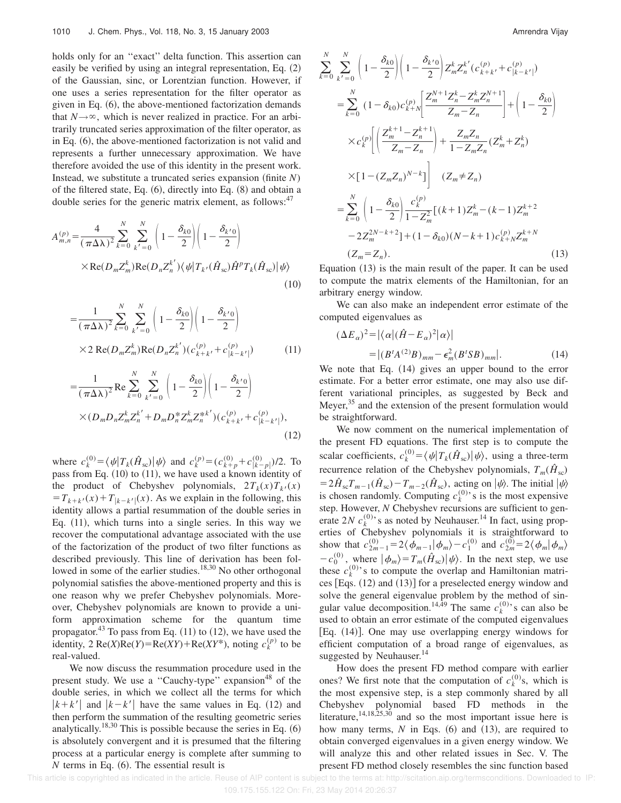holds only for an ''exact'' delta function. This assertion can easily be verified by using an integral representation, Eq.  $(2)$ of the Gaussian, sinc, or Lorentzian function. However, if one uses a series representation for the filter operator as given in Eq.  $(6)$ , the above-mentioned factorization demands that  $N \rightarrow \infty$ , which is never realized in practice. For an arbitrarily truncated series approximation of the filter operator, as in Eq.  $(6)$ , the above-mentioned factorization is not valid and represents a further unnecessary approximation. We have therefore avoided the use of this identity in the present work. Instead, we substitute a truncated series expansion (finite  $N$ ) of the filtered state, Eq.  $(6)$ , directly into Eq.  $(8)$  and obtain a double series for the generic matrix element, as follows:<sup>47</sup>

$$
A_{m,n}^{(p)} = \frac{4}{(\pi \Delta \lambda)^2} \sum_{k=0}^{N} \sum_{k'=0}^{N} \left( 1 - \frac{\delta_{k0}}{2} \right) \left( 1 - \frac{\delta_{k'0}}{2} \right)
$$

$$
\times \text{Re}(D_m Z_m^k) \text{Re}(D_n Z_n^{k'}) \langle \psi | T_{k'}(\hat{H}_{sc}) \hat{H}^p T_k(\hat{H}_{sc}) | \psi \rangle \tag{10}
$$

$$
= \frac{1}{(\pi \Delta \lambda)^2} \sum_{k=0}^{N} \sum_{k'=0}^{N} \left( 1 - \frac{\delta_{k0}}{2} \right) \left( 1 - \frac{\delta_{k'0}}{2} \right)
$$
  
×2 Re $(D_m Z_m^k)$ Re $(D_n Z_n^{k'})$  $(c_{k+k'}^{(p)} + c_{|k-k'}^{(p)})$  (11)

$$
= \frac{1}{(\pi \Delta \lambda)^2} \operatorname{Re} \sum_{k=0}^{N} \sum_{k'=0}^{N} \left( 1 - \frac{\delta_{k0}}{2} \right) \left( 1 - \frac{\delta_{k'0}}{2} \right)
$$
  
 
$$
\times (D_m D_n Z_m^k Z_n^{k'} + D_m D_n^* Z_m^k Z_n^{*k'}) (c_{k+k'}^{(p)} + c_{|k-k'|}^{(p)}),
$$
  
(12)

where  $c_k^{(0)} = \langle \psi | T_k(\hat{H}_{sc}) | \psi \rangle$  and  $c_k^{(p)} = (c_{k+p}^{(0)} + c_{|k-p|}^{(0)})/2$ . To pass from Eq.  $(10)$  to  $(11)$ , we have used a known identity of the product of Chebyshev polynomials,  $2T_k(x)T_{k'}(x)$  $=T_{k+k}(x)+T_{|k-k'|}(x)$ . As we explain in the following, this identity allows a partial resummation of the double series in Eq.  $(11)$ , which turns into a single series. In this way we recover the computational advantage associated with the use of the factorization of the product of two filter functions as described previously. This line of derivation has been followed in some of the earlier studies.<sup>18,30</sup> No other orthogonal polynomial satisfies the above-mentioned property and this is one reason why we prefer Chebyshev polynomials. Moreover, Chebyshev polynomials are known to provide a uniform approximation scheme for the quantum time propagator.<sup>43</sup> To pass from Eq.  $(11)$  to  $(12)$ , we have used the identity,  $2 \text{Re}(X) \text{Re}(Y) = \text{Re}(XY) + \text{Re}(XY^*)$ , noting  $c_k^{(p)}$  to be real-valued.

We now discuss the resummation procedure used in the present study. We use a "Cauchy-type" expansion<sup>48</sup> of the double series, in which we collect all the terms for which  $|k+k'|$  and  $|k-k'|$  have the same values in Eq. (12) and then perform the summation of the resulting geometric series analytically.<sup>18,30</sup> This is possible because the series in Eq.  $(6)$ is absolutely convergent and it is presumed that the filtering process at a particular energy is complete after summing to  *terms in Eq.*  $(6)$ *. The essential result is* 

$$
\sum_{k=0}^{N} \sum_{k'=0}^{N} \left( 1 - \frac{\delta_{k0}}{2} \right) \left( 1 - \frac{\delta_{k'0}}{2} \right) Z_m^k Z_n^{k'} (c_{k+k'}^{(p)} + c_{|k-k'|}^{(p)})
$$
\n
$$
= \sum_{k=0}^{N} (1 - \delta_{k0}) c_{k+N}^{(p)} \left[ \frac{Z_m^{N+1} Z_n^k - Z_m^k Z_n^{N+1}}{Z_m - Z_n} \right] + \left( 1 - \frac{\delta_{k0}}{2} \right)
$$
\n
$$
\times c_k^{(p)} \left[ \left( \frac{Z_m^{k+1} - Z_n^{k+1}}{Z_m - Z_n} \right) + \frac{Z_m Z_n}{1 - Z_m Z_n} (Z_m^k + Z_n^k) \right]
$$
\n
$$
\times \left[ 1 - (Z_m Z_n)^{N-k} \right] \left( Z_m \neq Z_n \right)
$$
\n
$$
= \sum_{k=0}^{N} \left( 1 - \frac{\delta_{k0}}{2} \right) \frac{c_k^{(p)}}{1 - Z_m^2} \left[ (k+1) Z_m^k - (k-1) Z_m^{k+2} \right]
$$
\n
$$
-2 Z_m^{2N-k+2} \right] + (1 - \delta_{k0}) (N - k + 1) c_{k+N}^{(p)} Z_m^{k+N}
$$
\n
$$
(Z_m = Z_n). \tag{13}
$$

Equation  $(13)$  is the main result of the paper. It can be used to compute the matrix elements of the Hamiltonian, for an arbitrary energy window.

We can also make an independent error estimate of the computed eigenvalues as

$$
(\Delta E_{\alpha})^2 = |\langle \alpha | (\hat{H} - E_{\alpha})^2 | \alpha \rangle|
$$
  
= |(B^t A^{(2)} B)\_{mm} - \epsilon\_m^2 (B^t S B)\_{mm}|. (14)

We note that Eq.  $(14)$  gives an upper bound to the error estimate. For a better error estimate, one may also use different variational principles, as suggested by Beck and Meyer,<sup>35</sup> and the extension of the present formulation would be straightforward.

We now comment on the numerical implementation of the present FD equations. The first step is to compute the scalar coefficients,  $c_k^{(0)} = \langle \psi | T_k(\hat{H}_{sc}) | \psi \rangle$ , using a three-term recurrence relation of the Chebyshev polynomials,  $T_m(\hat{H}_{sc})$  $=2\hat{H}_{\rm sc}T_{m-1}(\hat{H}_{\rm sc})-T_{m-2}(\hat{H}_{\rm sc})$ , acting on  $|\psi\rangle$ . The initial  $|\psi\rangle$ is chosen randomly. Computing  $c_k^{(0)}$ 's is the most expensive step. However, *N* Chebyshev recursions are sufficient to generate  $2N c_k^{(0)}$ 's as noted by Neuhauser.<sup>14</sup> In fact, using properties of Chebyshev polynomials it is straightforward to show that  $c_{2m-1}^{(0)} = 2 \langle \phi_{m-1} | \phi_m \rangle - c_1^{(0)}$  and  $c_{2m}^{(0)} = 2 \langle \phi_m | \phi_m \rangle$  $-c_0^{(0)}$ , where  $|\phi_m\rangle = T_m(\hat{H}_{sc})|\psi\rangle$ . In the next step, we use these  $c_k^{(0)}$ 's to compute the overlap and Hamiltonian matrices  $[Eqs. (12)$  and  $(13)]$  for a preselected energy window and solve the general eigenvalue problem by the method of singular value decomposition.<sup>14,49</sup> The same  $c_k^{(0)}$ 's can also be used to obtain an error estimate of the computed eigenvalues [Eq.  $(14)$ ]. One may use overlapping energy windows for efficient computation of a broad range of eigenvalues, as suggested by Neuhauser. $^{14}$ 

How does the present FD method compare with earlier ones? We first note that the computation of  $c_k^{(0)}$ s, which is the most expensive step, is a step commonly shared by all Chebyshev polynomial based FD methods in the literature,  $14,18,25,30$  and so the most important issue here is how many terms,  $N$  in Eqs.  $(6)$  and  $(13)$ , are required to obtain converged eigenvalues in a given energy window. We will analyze this and other related issues in Sec. V. The present FD method closely resembles the sinc function based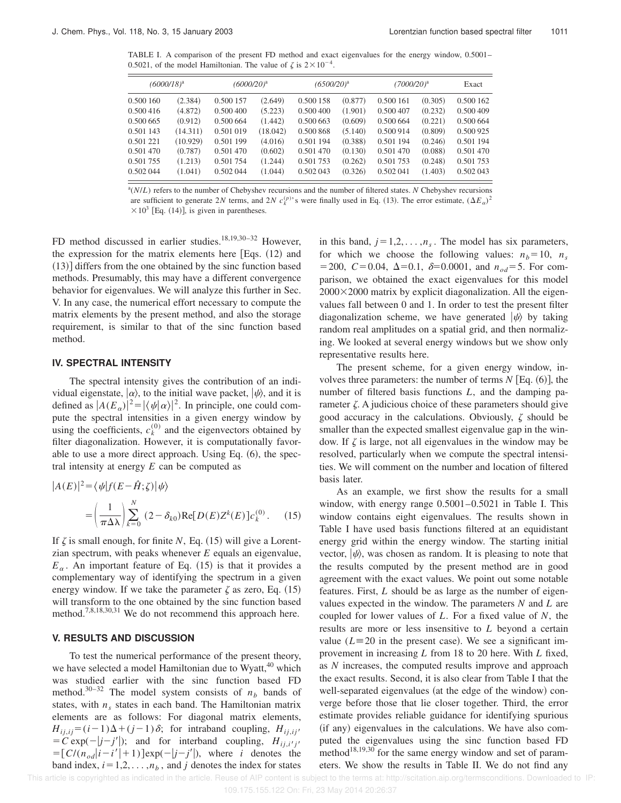TABLE I. A comparison of the present FD method and exact eigenvalues for the energy window, 0.5001– 0.5021, of the model Hamiltonian. The value of  $\zeta$  is  $2 \times 10^{-4}$ .

| $(6000/18)^a$ |          | $(6000/20)^a$ |          | $(6500/20)^a$ |         | (7000/20) <sup>a</sup> |         | Exact     |
|---------------|----------|---------------|----------|---------------|---------|------------------------|---------|-----------|
| 0.500 160     | (2.384)  | 0.500 157     | (2.649)  | 0.500 158     | (0.877) | 0.500 161              | (0.305) | 0.500 162 |
| 0.500 416     | (4.872)  | 0.500 400     | (5.223)  | 0.500 400     | (1.901) | 0.500 407              | (0.232) | 0.500 409 |
| 0.500 665     | (0.912)  | 0.500 664     | (1.442)  | 0.500 663     | (0.609) | 0.500 664              | (0.221) | 0.500 664 |
| 0.501 143     | (14.311) | 0.501 019     | (18.042) | 0.500 868     | (5.140) | 0.500 914              | (0.809) | 0.500 925 |
| 0.501 221     | (10.929) | 0.501 199     | (4.016)  | 0.501 194     | (0.388) | 0.501 194              | (0.246) | 0.501 194 |
| 0.501 470     | (0.787)  | 0.501 470     | (0.602)  | 0.501 470     | (0.130) | 0.501 470              | (0.088) | 0.501 470 |
| 0.501 755     | (1.213)  | 0.501 754     | (1.244)  | 0.501 753     | (0.262) | 0.501 753              | (0.248) | 0.501 753 |
| 0.502 044     | (1.041)  | 0.502 044     | (1.044)  | 0.502 043     | (0.326) | 0.502 041              | (1.403) | 0.502 043 |

a (*N*/*L*) refers to the number of Chebyshev recursions and the number of filtered states. *N* Chebyshev recursions are sufficient to generate 2*N* terms, and 2*N*  $c_k^{(p)}$ 's were finally used in Eq. (13). The error estimate,  $(\Delta E_\alpha)^2$  $\times 10^3$  [Eq. (14)], is given in parentheses.

FD method discussed in earlier studies.<sup>18,19,30-32</sup> However, the expression for the matrix elements here  $[Eqs. (12)$  and  $(13)$  differs from the one obtained by the sinc function based methods. Presumably, this may have a different convergence behavior for eigenvalues. We will analyze this further in Sec. V. In any case, the numerical effort necessary to compute the matrix elements by the present method, and also the storage requirement, is similar to that of the sinc function based method.

#### **IV. SPECTRAL INTENSITY**

The spectral intensity gives the contribution of an individual eigenstate,  $|\alpha\rangle$ , to the initial wave packet,  $|\psi\rangle$ , and it is defined as  $|A(E_\alpha)|^2 = |\langle \psi | \alpha \rangle|^2$ . In principle, one could compute the spectral intensities in a given energy window by using the coefficients,  $c_k^{(0)}$  and the eigenvectors obtained by filter diagonalization. However, it is computationally favorable to use a more direct approach. Using Eq.  $(6)$ , the spectral intensity at energy *E* can be computed as

$$
|A(E)|^2 = \langle \psi | f(E - \hat{H}; \zeta) | \psi \rangle
$$
  
= 
$$
\left(\frac{1}{\pi \Delta \lambda}\right) \sum_{k=0}^{N} (2 - \delta_{k0}) \text{Re}[D(E)Z^{k}(E)]c_k^{(0)}.
$$
 (15)

If  $\zeta$  is small enough, for finite *N*, Eq. (15) will give a Lorentzian spectrum, with peaks whenever *E* equals an eigenvalue,  $E_\alpha$ . An important feature of Eq. (15) is that it provides a complementary way of identifying the spectrum in a given energy window. If we take the parameter  $\zeta$  as zero, Eq. (15) will transform to the one obtained by the sinc function based method.7,8,18,30,31 We do not recommend this approach here.

#### **V. RESULTS AND DISCUSSION**

To test the numerical performance of the present theory, we have selected a model Hamiltonian due to Wyatt,<sup>40</sup> which was studied earlier with the sinc function based FD method.<sup>30-32</sup> The model system consists of  $n<sub>b</sub>$  bands of states, with  $n<sub>s</sub>$  states in each band. The Hamiltonian matrix elements are as follows: For diagonal matrix elements,  $H_{i i, i j} = (i-1)\Delta + (j-1)\delta$ ; for intraband coupling,  $H_{i i, i j'}$  $\vec{C} = \vec{C} \exp(-|j-j'|);$  and for interband coupling,  $H_{ij,i'j'}$  $=\left[ C/(n_{od}|i-i'|+1) \right] \exp(-|j-j'|)$ , where *i* denotes the band index,  $i=1,2,\ldots,n_b$ , and *j* denotes the index for states

in this band,  $j=1,2,\ldots,n_s$ . The model has six parameters, for which we choose the following values:  $n_b = 10$ ,  $n_s$  $=$  200, *C* = 0.04,  $\Delta$ =0.1,  $\delta$ =0.0001, and  $n_{od}$ = 5. For comparison, we obtained the exact eigenvalues for this model  $2000 \times 2000$  matrix by explicit diagonalization. All the eigenvalues fall between 0 and 1. In order to test the present filter diagonalization scheme, we have generated  $|\psi\rangle$  by taking random real amplitudes on a spatial grid, and then normalizing. We looked at several energy windows but we show only representative results here.

The present scheme, for a given energy window, involves three parameters: the number of terms  $N$  [Eq.  $(6)$ ], the number of filtered basis functions *L*, and the damping parameter  $\zeta$ . A judicious choice of these parameters should give good accuracy in the calculations. Obviously,  $\zeta$  should be smaller than the expected smallest eigenvalue gap in the window. If  $\zeta$  is large, not all eigenvalues in the window may be resolved, particularly when we compute the spectral intensities. We will comment on the number and location of filtered basis later.

As an example, we first show the results for a small window, with energy range 0.5001–0.5021 in Table I. This window contains eight eigenvalues. The results shown in Table I have used basis functions filtered at an equidistant energy grid within the energy window. The starting initial vector,  $|\psi\rangle$ , was chosen as random. It is pleasing to note that the results computed by the present method are in good agreement with the exact values. We point out some notable features. First, *L* should be as large as the number of eigenvalues expected in the window. The parameters *N* and *L* are coupled for lower values of *L*. For a fixed value of *N*, the results are more or less insensitive to *L* beyond a certain value ( $L \equiv 20$  in the present case). We see a significant improvement in increasing *L* from 18 to 20 here. With *L* fixed, as *N* increases, the computed results improve and approach the exact results. Second, it is also clear from Table I that the well-separated eigenvalues (at the edge of the window) converge before those that lie closer together. Third, the error estimate provides reliable guidance for identifying spurious (if any) eigenvalues in the calculations. We have also computed the eigenvalues using the sinc function based FD method $18,19,30$  for the same energy window and set of parameters. We show the results in Table II. We do not find any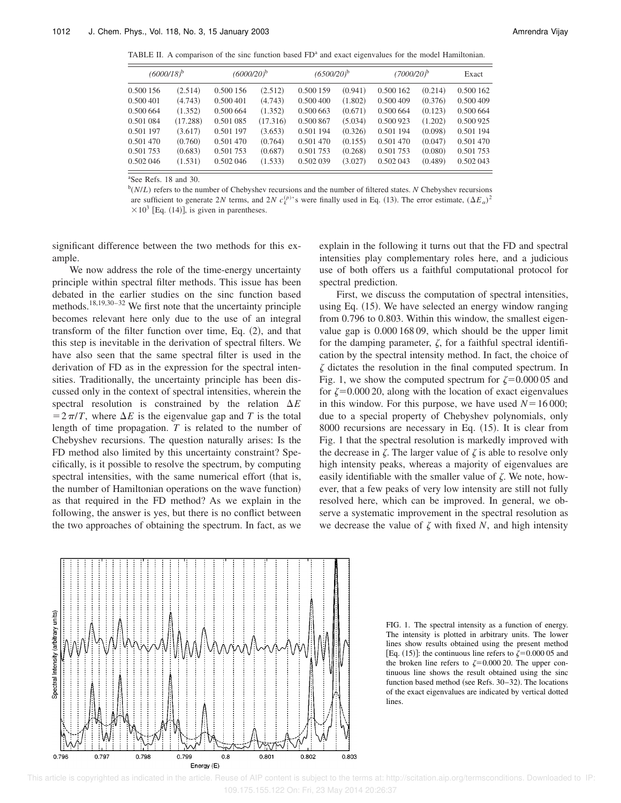TABLE II. A comparison of the sinc function based FD<sup>a</sup> and exact eigenvalues for the model Hamiltonian.

| $(6000/18)^b$ |          | $(6000/20)^b$ |          | $(6500/20)^b$ |         | $(7000/20)^b$ |         | Exact     |
|---------------|----------|---------------|----------|---------------|---------|---------------|---------|-----------|
| 0.500 156     | (2.514)  | 0.500 156     | (2.512)  | 0.500 159     | (0.941) | 0.500 162     | (0.214) | 0.500 162 |
| 0.500 401     | (4.743)  | 0.500 401     | (4.743)  | 0.500 400     | (1.802) | 0.500 409     | (0.376) | 0.500 409 |
| 0.500 664     | (1.352)  | 0.500 664     | (1.352)  | 0.500 663     | (0.671) | 0.500 664     | (0.123) | 0.500 664 |
| 0.501 084     | (17.288) | 0.501 085     | (17.316) | 0.500 867     | (5.034) | 0.500 923     | (1.202) | 0.500 925 |
| 0.501 197     | (3.617)  | 0.501 197     | (3.653)  | 0.501 194     | (0.326) | 0.501 194     | (0.098) | 0.501 194 |
| 0.501 470     | (0.760)  | 0.501 470     | (0.764)  | 0.501 470     | (0.155) | 0.501 470     | (0.047) | 0.501 470 |
| 0.501 753     | (0.683)  | 0.501 753     | (0.687)  | 0.501 753     | (0.268) | 0.501 753     | (0.080) | 0.501 753 |
| 0.502 046     | (1.531)  | 0.502 046     | (1.533)  | 0.502 039     | (3.027) | 0.502 043     | (0.489) | 0.502 043 |

<sup>a</sup>See Refs. 18 and 30.

b (*N*/*L*) refers to the number of Chebyshev recursions and the number of filtered states. *N* Chebyshev recursions are sufficient to generate 2*N* terms, and 2*N*  $c_k^{(p)}$ 's were finally used in Eq. (13). The error estimate,  $(\Delta E_\alpha)^2$  $\times 10^3$  [Eq. (14)], is given in parentheses.

significant difference between the two methods for this example.

We now address the role of the time-energy uncertainty principle within spectral filter methods. This issue has been debated in the earlier studies on the sinc function based methods.<sup>18,19,30–32</sup> We first note that the uncertainty principle becomes relevant here only due to the use of an integral transform of the filter function over time, Eq.  $(2)$ , and that this step is inevitable in the derivation of spectral filters. We have also seen that the same spectral filter is used in the derivation of FD as in the expression for the spectral intensities. Traditionally, the uncertainty principle has been discussed only in the context of spectral intensities, wherein the spectral resolution is constrained by the relation  $\Delta E$  $=2\pi/T$ , where  $\Delta E$  is the eigenvalue gap and *T* is the total length of time propagation. *T* is related to the number of Chebyshev recursions. The question naturally arises: Is the FD method also limited by this uncertainty constraint? Specifically, is it possible to resolve the spectrum, by computing spectral intensities, with the same numerical effort (that is, the number of Hamiltonian operations on the wave function)

0.799

0.796

explain in the following it turns out that the FD and spectral intensities play complementary roles here, and a judicious use of both offers us a faithful computational protocol for spectral prediction.

First, we discuss the computation of spectral intensities, using Eq.  $(15)$ . We have selected an energy window ranging from 0.796 to 0.803. Within this window, the smallest eigenvalue gap is 0.000 168 09, which should be the upper limit for the damping parameter,  $\zeta$ , for a faithful spectral identification by the spectral intensity method. In fact, the choice of  $\zeta$  dictates the resolution in the final computed spectrum. In Fig. 1, we show the computed spectrum for  $\zeta=0.00005$  and for  $\zeta$ =0.000 20, along with the location of exact eigenvalues in this window. For this purpose, we have used  $N=16000$ ; due to a special property of Chebyshev polynomials, only  $8000$  recursions are necessary in Eq.  $(15)$ . It is clear from Fig. 1 that the spectral resolution is markedly improved with the decrease in  $\zeta$ . The larger value of  $\zeta$  is able to resolve only high intensity peaks, whereas a majority of eigenvalues are easily identifiable with the smaller value of  $\zeta$ . We note, however, that a few peaks of very low intensity are still not fully resolved here, which can be improved. In general, we observe a systematic improvement in the spectral resolution as we decrease the value of  $\zeta$  with fixed  $N$ , and high intensity

lines. 0.797 0.798 0.801 0.802 0.803





 $0.8$ 

Energy (E)

 This article is copyrighted as indicated in the article. Reuse of AIP content is subject to the terms at: http://scitation.aip.org/termsconditions. Downloaded to IP: 109.175.155.122 On: Fri, 23 May 2014 20:26:37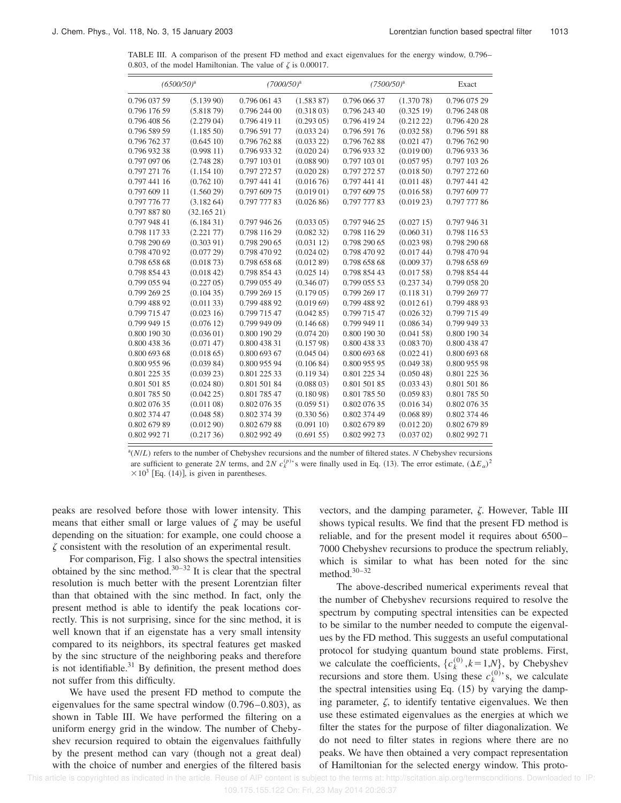TABLE III. A comparison of the present FD method and exact eigenvalues for the energy window, 0.796– 0.803, of the model Hamiltonian. The value of  $\zeta$  is 0.00017.

| $(6500/50)^a$ |            | $(7000/50)^a$ |               | $(7500/50)^{a}$ |               | Exact        |
|---------------|------------|---------------|---------------|-----------------|---------------|--------------|
| 0.796 037 59  | (5.13990)  | 0.796 061 43  | (1.583 87)    | 0.796 066 37    | (1.37078)     | 0.796 075 29 |
| 0.796 176 59  | (5.81879)  | 0.796 244 00  | (0.31803)     | 0.796 243 40    | (0.32519)     | 0.796 248 08 |
| 0.796 408 56  | (2.27904)  | 0.796 419 11  | (0.293 05)    | 0.796 419 24    | (0.212 22)    | 0.796 420 28 |
| 0.796 589 59  | (1.18550)  | 0.796 591 77  | (0.03324)     | 0.796 591 76    | (0.03258)     | 0.796 591 88 |
| 0.796 762 37  | (0.64510)  | 0.796 762 88  | (0.033 22)    | 0.796 762 88    | (0.02147)     | 0.796 762 90 |
| 0.796 932 38  | (0.99811)  | 0.796 933 32  | (0.02024)     | 0.796 933 32    | $(0.019\ 00)$ | 0.796 933 36 |
| 0.797 097 06  | (2.74828)  | 0.797 103 01  | (0.08890)     | 0.797 103 01    | (0.05795)     | 0.797 103 26 |
| 0.797 271 76  | (1.15410)  | 0.797 272 57  | (0.02028)     | 0.797 272 57    | (0.01850)     | 0.797 272 60 |
| 0.797 441 16  | (0.76210)  | 0.797 441 41  | (0.01676)     | 0.797 441 41    | (0.01148)     | 0.797 441 42 |
| 0.797 609 11  | (1.56029)  | 0.797 609 75  | (0.01901)     | 0.797 609 75    | (0.01658)     | 0.797 609 77 |
| 0.797 776 77  | (3.18264)  | 0.797 777 83  | (0.02686)     | 0.797 777 83    | (0.019 23)    | 0.797 777 86 |
| 0.797 887 80  | (32.16521) |               |               |                 |               |              |
| 0.797 948 41  | (6.18431)  | 0.797 946 26  | (0.033 05)    | 0.797 946 25    | (0.02715)     | 0.797 946 31 |
| 0.798 117 33  | (2.22177)  | 0.798 116 29  | (0.08232)     | 0.798 116 29    | (0.06031)     | 0.798 116 53 |
| 0.798 290 69  | (0.30391)  | 0.798 290 65  | (0.03112)     | 0.798 290 65    | (0.02398)     | 0.798 290 68 |
| 0.798 470 92  | (0.07729)  | 0.798 470 92  | (0.024 02)    | 0.798 470 92    | (0.01744)     | 0.798 470 94 |
| 0.798 658 68  | (0.01873)  | 0.798 658 68  | (0.01289)     | 0.798 658 68    | (0.00937)     | 0.798 658 69 |
| 0.798 854 43  | (0.01842)  | 0.798 854 43  | (0.02514)     | 0.798 854 43    | (0.01758)     | 0.798 854 44 |
| 0.799 055 94  | (0.227 05) | 0.799 055 49  | (0.34607)     | 0.799 055 53    | (0.23734)     | 0.799 058 20 |
| 0.799 269 25  | (0.10435)  | 0.799 269 15  | $(0.179\ 05)$ | 0.799 269 17    | (0.11831)     | 0.799 269 77 |
| 0.799 488 92  | (0.01133)  | 0.799 488 92  | (0.01969)     | 0.799 488 92    | (0.01261)     | 0.799 488 93 |
| 0.799 715 47  | (0.02316)  | 0.799 715 47  | (0.04285)     | 0.799 715 47    | (0.02632)     | 0.799 715 49 |
| 0.799 949 15  | (0.07612)  | 0.799 949 09  | (0.14668)     | 0.799 949 11    | (0.08634)     | 0.799 949 33 |
| 0.800 190 30  | (0.03601)  | 0.800 190 29  | (0.07420)     | 0.800 190 30    | (0.04158)     | 0.800 190 34 |
| 0.800 438 36  | (0.07147)  | 0.800 438 31  | (0.15798)     | 0.800 438 33    | (0.08370)     | 0.800 438 47 |
| 0.800 693 68  | (0.01865)  | 0.800 693 67  | (0.04504)     | 0.800 693 68    | (0.02241)     | 0.800 693 68 |
| 0.800 955 96  | (0.03984)  | 0.800 955 94  | (0.10684)     | 0.800 955 95    | (0.04938)     | 0.800 955 98 |
| 0.801 225 35  | (0.03923)  | 0.801 225 33  | (0.11934)     | 0.801 225 34    | (0.05048)     | 0.801 225 36 |
| 0.801 501 85  | (0.02480)  | 0.801 501 84  | (0.088 03)    | 0.801 501 85    | (0.03343)     | 0.801 501 86 |
| 0.801 785 50  | (0.04225)  | 0.801 785 47  | (0.18098)     | 0.801 785 50    | (0.05983)     | 0.801 785 50 |
| 0.802 076 35  | (0.01108)  | 0.802 076 35  | (0.05951)     | 0.802 076 35    | (0.01634)     | 0.802 076 35 |
| 0.802 374 47  | (0.04858)  | 0.802 374 39  | (0.33056)     | 0.802 374 49    | (0.06889)     | 0.802 374 46 |
| 0.802 679 89  | (0.01290)  | 0.802 679 88  | (0.09110)     | 0.802 679 89    | (0.012 20)    | 0.802 679 89 |
| 0.802 992 71  | (0.21736)  | 0.802 992 49  | (0.69155)     | 0.802 992 73    | (0.037 02)    | 0.802 992 71 |

a (*N*/*L*) refers to the number of Chebyshev recursions and the number of filtered states. *N* Chebyshev recursions are sufficient to generate 2*N* terms, and 2*N*  $c_k^{(p)}$ 's were finally used in Eq. (13). The error estimate,  $(\Delta E_\alpha)^2$  $\times 10^3$  [Eq. (14)], is given in parentheses.

peaks are resolved before those with lower intensity. This means that either small or large values of  $\zeta$  may be useful depending on the situation: for example, one could choose a  $\zeta$  consistent with the resolution of an experimental result.

For comparison, Fig. 1 also shows the spectral intensities obtained by the sinc method. $30-32$  It is clear that the spectral resolution is much better with the present Lorentzian filter than that obtained with the sinc method. In fact, only the present method is able to identify the peak locations correctly. This is not surprising, since for the sinc method, it is well known that if an eigenstate has a very small intensity compared to its neighbors, its spectral features get masked by the sinc structure of the neighboring peaks and therefore is not identifiable. $31$  By definition, the present method does not suffer from this difficulty.

We have used the present FD method to compute the eigenvalues for the same spectral window  $(0.796-0.803)$ , as shown in Table III. We have performed the filtering on a uniform energy grid in the window. The number of Chebyshev recursion required to obtain the eigenvalues faithfully by the present method can vary (though not a great deal) with the choice of number and energies of the filtered basis vectors, and the damping parameter,  $\zeta$ . However, Table III shows typical results. We find that the present FD method is reliable, and for the present model it requires about 6500– 7000 Chebyshev recursions to produce the spectrum reliably, which is similar to what has been noted for the sinc method. $30-32$ 

The above-described numerical experiments reveal that the number of Chebyshev recursions required to resolve the spectrum by computing spectral intensities can be expected to be similar to the number needed to compute the eigenvalues by the FD method. This suggests an useful computational protocol for studying quantum bound state problems. First, we calculate the coefficients,  $\{c_k^{(0)}, k=1, N\}$ , by Chebyshev recursions and store them. Using these  $c_k^{(0)}$ 's, we calculate the spectral intensities using Eq.  $(15)$  by varying the damping parameter,  $\zeta$ , to identify tentative eigenvalues. We then use these estimated eigenvalues as the energies at which we filter the states for the purpose of filter diagonalization. We do not need to filter states in regions where there are no peaks. We have then obtained a very compact representation of Hamiltonian for the selected energy window. This proto